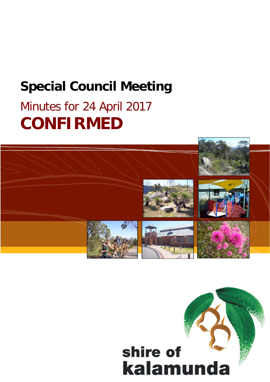# **Special Council Meeting**

# Minutes for 24 April 2017 **CONFIRMED**



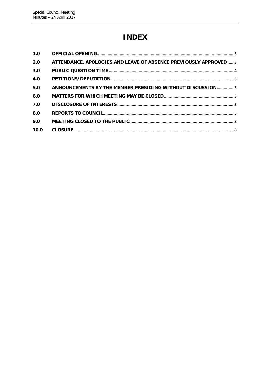## **INDEX**

| 1.0  |                                                                  |  |
|------|------------------------------------------------------------------|--|
| 2.0  | ATTENDANCE, APOLOGIES AND LEAVE OF ABSENCE PREVIOUSLY APPROVED 3 |  |
| 3.0  |                                                                  |  |
| 4.0  |                                                                  |  |
| 5.0  | ANNOUNCEMENTS BY THE MEMBER PRESIDING WITHOUT DISCUSSION 5       |  |
| 6.0  |                                                                  |  |
| 7.0  |                                                                  |  |
| 8.0  |                                                                  |  |
| 9.0  |                                                                  |  |
| 10.0 |                                                                  |  |
|      |                                                                  |  |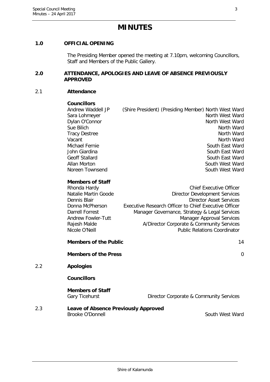### **MINUTES**

#### <span id="page-2-0"></span>**1.0 OFFICIAL OPENING**

The Presiding Member opened the meeting at 7.10pm, welcoming Councillors, Staff and Members of the Public Gallery.

#### <span id="page-2-1"></span>**2.0 ATTENDANCE, APOLOGIES AND LEAVE OF ABSENCE PREVIOUSLY APPROVED**

#### 2.1 **Attendance**

#### **Councillors**

Andrew Waddell JP (Shire President) (Presiding Member) North West Ward Sara Lohmeyer North West Ward Dylan O'Connor North West Ward Sue Bilich North Ward Tracy Destree North Ward Vacant **North Ward** Michael Fernie South East Ward John Giardina South East Ward<br>Geoff Stallard South East Ward<br>South East Ward South East Ward Allan Morton **South West Ward** Noreen Townsend South West Ward

#### **Members of Staff**

| <b>Chief Executive Officer</b>                        |
|-------------------------------------------------------|
| <b>Director Development Services</b>                  |
| <b>Director Asset Services</b>                        |
| Executive Research Officer to Chief Executive Officer |
| Manager Governance, Strategy & Legal Services         |
| <b>Manager Approval Services</b>                      |
| A/Director Corporate & Community Services             |
| <b>Public Relations Coordinator</b>                   |
|                                                       |

# **Members of the Public** 24 and 24 and 24 and 24 and 24 and 24 and 24 and 24 and 24 and 24 and 25 and 26 and 26 and 26 and 26 and 26 and 26 and 26 and 26 and 26 and 26 and 26 and 26 and 26 and 26 and 26 and 26 and 26 and 26 **Members of the Press** 0 2.2 **Apologies Councillors Members of Staff** Gary Ticehurst **Director Corporate & Community Services** 2.3 **Leave of Absence Previously Approved**

Brooke O'Donnell **South West Ward**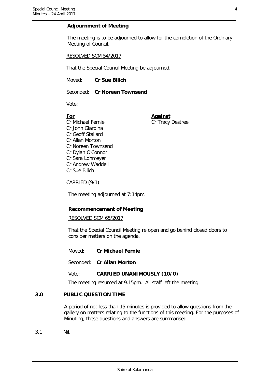#### **Adjournment of Meeting**

The meeting is to be adjourned to allow for the completion of the Ordinary Meeting of Council.

#### RESOLVED SCM 54/2017

That the Special Council Meeting be adjourned.

Moved: **Cr Sue Bilich**

Seconded: **Cr Noreen Townsend**

Vote:

**For Against** Cr Michael Fernie Cr Tracy Destree Cr John Giardina Cr Geoff Stallard Cr Allan Morton Cr Noreen Townsend Cr Dylan O'Connor Cr Sara Lohmeyer Cr Andrew Waddell Cr Sue Bilich

CARRIED (9/1)

The meeting adjourned at 7:14pm.

#### **Recommencement of Meeting**

#### RESOLVED SCM 65/2017

That the Special Council Meeting re open and go behind closed doors to consider matters on the agenda.

Moved: **Cr Michael Fernie**

Seconded: **Cr Allan Morton**

#### Vote: **CARRIED UNANIMOUSLY (10/0)**

The meeting resumed at 9.15pm. All staff left the meeting.

#### <span id="page-3-0"></span>**3.0 PUBLIC QUESTION TIME**

A period of not less than 15 minutes is provided to allow questions from the gallery on matters relating to the functions of this meeting. For the purposes of Minuting, these questions and answers are summarised.

3.1 Nil.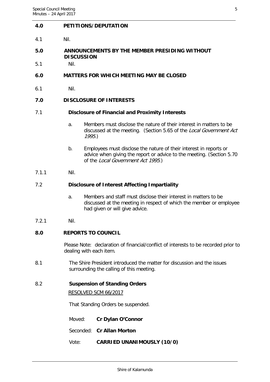#### <span id="page-4-0"></span>**4.0 PETITIONS/DEPUTATION**

4.1 Nil.

#### <span id="page-4-1"></span>**5.0 ANNOUNCEMENTS BY THE MEMBER PRESIDING WITHOUT DISCUSSION**

5.1 Nil.

#### <span id="page-4-2"></span>**6.0 MATTERS FOR WHICH MEETING MAY BE CLOSED**

6.1 Nil.

#### <span id="page-4-3"></span>**7.0 DISCLOSURE OF INTERESTS**

#### 7.1 **Disclosure of Financial and Proximity Interests**

- a. Members must disclose the nature of their interest in matters to be discussed at the meeting. (Section 5.65 of the Local Government Act 1995.)
- b. Employees must disclose the nature of their interest in reports or advice when giving the report or advice to the meeting. (Section 5.70 of the Local Government Act 1995.)
- 7.1.1 Nil.

#### 7.2 **Disclosure of Interest Affecting Impartiality**

- a. Members and staff must disclose their interest in matters to be discussed at the meeting in respect of which the member or employee had given or will give advice.
- 7.2.1 Nil.

#### <span id="page-4-4"></span>**8.0 REPORTS TO COUNCIL**

Please Note: declaration of financial/conflict of interests to be recorded prior to dealing with each item.

8.1 The Shire President introduced the matter for discussion and the issues surrounding the calling of this meeting.

#### 8.2 **Suspension of Standing Orders**

RESOLVED SCM 66/2017

That Standing Orders be suspended.

- Moved: **Cr Dylan O'Connor**
- Seconded: **Cr Allan Morton**
- Vote: **CARRIED UNANIMOUSLY (10/0)**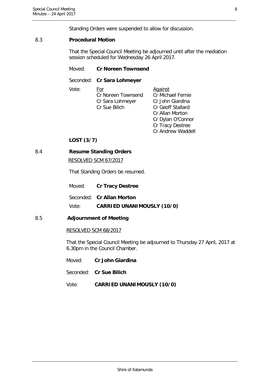Standing Orders were suspended to allow for discussion.

#### 8.3 **Procedural Motion**

That the Special Council Meeting be adjourned until after the mediation session scheduled for Wednesday 26 April 2017.

#### Moved: **Cr Noreen Townsend**

Seconded: **Cr Sara Lohmeyer**

Vote: For **For** Against Cr Noreen Townsend Cr Michael Fernie Cr Sara Lohmeyer Cr John Giardina Cr Sue Bilich Cr Geoff Stallard

Cr Allan Morton Cr Dylan O'Connor Cr Tracy Destree Cr Andrew Waddell

### **LOST (3/7)**

#### 8.4 **Resume Standing Orders**

RESOLVED SCM 67/2017

That Standing Orders be resumed.

|       | Moved: Cr Tracy Destree           |
|-------|-----------------------------------|
|       | Seconded: Cr Allan Morton         |
| Vote: | <b>CARRIED UNANIMOUSLY (10/0)</b> |

### 8.5 **Adjournment of Meeting**

#### RESOLVED SCM 68/2017

That the Special Council Meeting be adjourned to Thursday 27 April, 2017 at 6.30pm in the Council Chamber.

Moved: **Cr John Giardina**

Seconded: **Cr Sue Bilich**

Vote: **CARRIED UNANIMOUSLY (10/0)**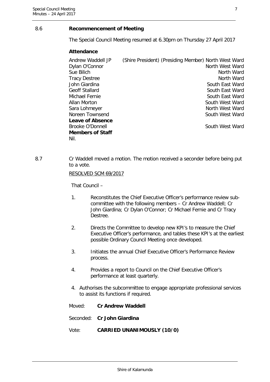#### 8.6 **Recommencement of Meeting**

The Special Council Meeting resumed at 6.30pm on Thursday 27 April 2017

#### **Attendance**

| Andrew Waddell JP       | (Shire President) (Presiding Member) North West Ward |                 |  |
|-------------------------|------------------------------------------------------|-----------------|--|
| Dylan O'Connor          |                                                      | North West Ward |  |
| Sue Bilich              |                                                      | North Ward      |  |
| Tracy Destree           |                                                      | North Ward      |  |
| John Giardina           |                                                      | South East Ward |  |
| Geoff Stallard          |                                                      | South East Ward |  |
| Michael Fernie          |                                                      | South East Ward |  |
| Allan Morton            |                                                      | South West Ward |  |
| Sara Lohmeyer           |                                                      | North West Ward |  |
| Noreen Townsend         |                                                      | South West Ward |  |
| <b>Leave of Absence</b> |                                                      |                 |  |
| Brooke O'Donnell        |                                                      | South West Ward |  |
| <b>Members of Staff</b> |                                                      |                 |  |
| Nil.                    |                                                      |                 |  |

8.7 Cr Waddell moved a motion. The motion received a seconder before being put to a vote.

RESOLVED SCM 69/2017

That Council –

- 1. Reconstitutes the Chief Executive Officer's performance review subcommittee with the following members – Cr Andrew Waddell; Cr John Giardina; Cr Dylan O'Connor; Cr Michael Fernie and Cr Tracy Destree.
- 2. Directs the Committee to develop new KPI's to measure the Chief Executive Officer's performance, and tables these KPI's at the earliest possible Ordinary Council Meeting once developed.
- 3. Initiates the annual Chief Executive Officer's Performance Review process.
- 4. Provides a report to Council on the Chief Executive Officer's performance at least quarterly.
- 4. Authorises the subcommittee to engage appropriate professional services to assist its functions if required.
- Moved: **Cr Andrew Waddell**
- Seconded: **Cr John Giardina**
- Vote: **CARRIED UNANIMOUSLY (10/0)**